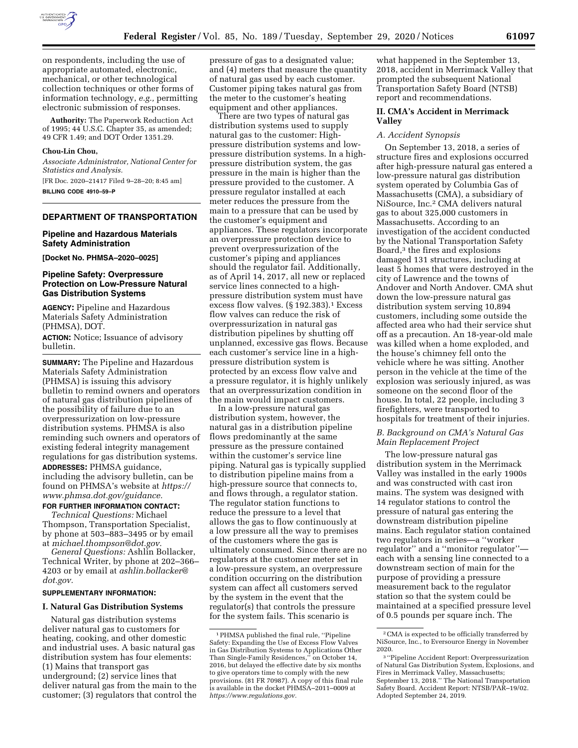

on respondents, including the use of appropriate automated, electronic, mechanical, or other technological collection techniques or other forms of information technology, *e.g.,* permitting electronic submission of responses.

**Authority:** The Paperwork Reduction Act of 1995; 44 U.S.C. Chapter 35, as amended; 49 CFR 1.49; and DOT Order 1351.29.

#### **Chou-Lin Chou,**

*Associate Administrator, National Center for Statistics and Analysis.* 

[FR Doc. 2020–21417 Filed 9–28–20; 8:45 am] **BILLING CODE 4910–59–P** 

# **DEPARTMENT OF TRANSPORTATION**

### **Pipeline and Hazardous Materials Safety Administration**

**[Docket No. PHMSA–2020–0025]** 

### **Pipeline Safety: Overpressure Protection on Low-Pressure Natural Gas Distribution Systems**

**AGENCY:** Pipeline and Hazardous Materials Safety Administration (PHMSA), DOT.

**ACTION:** Notice; Issuance of advisory bulletin.

**SUMMARY:** The Pipeline and Hazardous Materials Safety Administration (PHMSA) is issuing this advisory bulletin to remind owners and operators of natural gas distribution pipelines of the possibility of failure due to an overpressurization on low-pressure distribution systems. PHMSA is also reminding such owners and operators of existing federal integrity management regulations for gas distribution systems. **ADDRESSES:** PHMSA guidance, including the advisory bulletin, can be found on PHMSA's website at *[https://](https://www.phmsa.dot.gov/guidance) [www.phmsa.dot.gov/guidance.](https://www.phmsa.dot.gov/guidance)* 

# **FOR FURTHER INFORMATION CONTACT:**

*Technical Questions:* Michael Thompson, Transportation Specialist, by phone at 503–883–3495 or by email at *[michael.thompson@dot.gov.](mailto:michael.thompson@dot.gov)* 

*General Questions:* Ashlin Bollacker, Technical Writer, by phone at 202–366– 4203 or by email at *[ashlin.bollacker@](mailto:ashlin.bollacker@dot.gov) [dot.gov.](mailto:ashlin.bollacker@dot.gov)* 

## **SUPPLEMENTARY INFORMATION:**

### **I. Natural Gas Distribution Systems**

Natural gas distribution systems deliver natural gas to customers for heating, cooking, and other domestic and industrial uses. A basic natural gas distribution system has four elements: (1) Mains that transport gas underground; (2) service lines that deliver natural gas from the main to the customer; (3) regulators that control the

pressure of gas to a designated value; and (4) meters that measure the quantity of natural gas used by each customer. Customer piping takes natural gas from the meter to the customer's heating equipment and other appliances.

There are two types of natural gas distribution systems used to supply natural gas to the customer: Highpressure distribution systems and lowpressure distribution systems. In a highpressure distribution system, the gas pressure in the main is higher than the pressure provided to the customer. A pressure regulator installed at each meter reduces the pressure from the main to a pressure that can be used by the customer's equipment and appliances. These regulators incorporate an overpressure protection device to prevent overpressurization of the customer's piping and appliances should the regulator fail. Additionally, as of April 14, 2017, all new or replaced service lines connected to a highpressure distribution system must have excess flow valves. (§ 192.383).<sup>1</sup> Excess flow valves can reduce the risk of overpressurization in natural gas distribution pipelines by shutting off unplanned, excessive gas flows. Because each customer's service line in a highpressure distribution system is protected by an excess flow valve and a pressure regulator, it is highly unlikely that an overpressurization condition in the main would impact customers.

In a low-pressure natural gas distribution system, however, the natural gas in a distribution pipeline flows predominantly at the same pressure as the pressure contained within the customer's service line piping. Natural gas is typically supplied to distribution pipeline mains from a high-pressure source that connects to, and flows through, a regulator station. The regulator station functions to reduce the pressure to a level that allows the gas to flow continuously at a low pressure all the way to premises of the customers where the gas is ultimately consumed. Since there are no regulators at the customer meter set in a low-pressure system, an overpressure condition occurring on the distribution system can affect all customers served by the system in the event that the regulator(s) that controls the pressure for the system fails. This scenario is

what happened in the September 13, 2018, accident in Merrimack Valley that prompted the subsequent National Transportation Safety Board (NTSB) report and recommendations.

### **II. CMA's Accident in Merrimack Valley**

## *A. Accident Synopsis*

On September 13, 2018, a series of structure fires and explosions occurred after high-pressure natural gas entered a low-pressure natural gas distribution system operated by Columbia Gas of Massachusetts (CMA), a subsidiary of NiSource, Inc.2 CMA delivers natural gas to about 325,000 customers in Massachusetts. According to an investigation of the accident conducted by the National Transportation Safety Board,3 the fires and explosions damaged 131 structures, including at least 5 homes that were destroyed in the city of Lawrence and the towns of Andover and North Andover. CMA shut down the low-pressure natural gas distribution system serving 10,894 customers, including some outside the affected area who had their service shut off as a precaution. An 18-year-old male was killed when a home exploded, and the house's chimney fell onto the vehicle where he was sitting. Another person in the vehicle at the time of the explosion was seriously injured, as was someone on the second floor of the house. In total, 22 people, including 3 firefighters, were transported to hospitals for treatment of their injuries.

## *B. Background on CMA's Natural Gas Main Replacement Project*

The low-pressure natural gas distribution system in the Merrimack Valley was installed in the early 1900s and was constructed with cast iron mains. The system was designed with 14 regulator stations to control the pressure of natural gas entering the downstream distribution pipeline mains. Each regulator station contained two regulators in series—a ''worker regulator'' and a ''monitor regulator'' each with a sensing line connected to a downstream section of main for the purpose of providing a pressure measurement back to the regulator station so that the system could be maintained at a specified pressure level of 0.5 pounds per square inch. The

<sup>1</sup>PHMSA published the final rule, ''Pipeline Safety: Expanding the Use of Excess Flow Valves in Gas Distribution Systems to Applications Other Than Single-Family Residences,'' on October 14, 2016, but delayed the effective date by six months to give operators time to comply with the new provisions. (81 FR 70987). A copy of this final rule is available in the docket PHMSA–2011–0009 at *[https://www.regulations.gov.](https://www.regulations.gov)* 

 $^2 \rm CMA$  is expected to be officially transferred by NiSource, Inc., to Eversource Energy in November 2020.

<sup>3</sup> ''Pipeline Accident Report: Overpressurization of Natural Gas Distribution System, Explosions, and Fires in Merrimack Valley, Massachusetts; September 13, 2018.'' The National Transportation Safety Board. Accident Report: NTSB/PAR–19/02. Adopted September 24, 2019.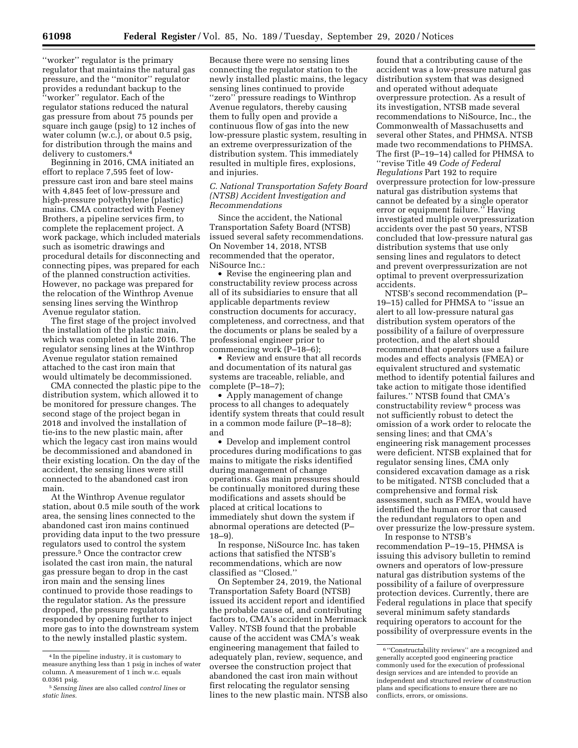''worker'' regulator is the primary regulator that maintains the natural gas pressure, and the ''monitor'' regulator provides a redundant backup to the ''worker'' regulator. Each of the regulator stations reduced the natural gas pressure from about 75 pounds per square inch gauge (psig) to 12 inches of water column (w.c.), or about 0.5 psig, for distribution through the mains and delivery to customers.4

Beginning in 2016, CMA initiated an effort to replace 7,595 feet of lowpressure cast iron and bare steel mains with 4,845 feet of low-pressure and high-pressure polyethylene (plastic) mains. CMA contracted with Feeney Brothers, a pipeline services firm, to complete the replacement project. A work package, which included materials such as isometric drawings and procedural details for disconnecting and connecting pipes, was prepared for each of the planned construction activities. However, no package was prepared for the relocation of the Winthrop Avenue sensing lines serving the Winthrop Avenue regulator station.

The first stage of the project involved the installation of the plastic main, which was completed in late 2016. The regulator sensing lines at the Winthrop Avenue regulator station remained attached to the cast iron main that would ultimately be decommissioned.

CMA connected the plastic pipe to the distribution system, which allowed it to be monitored for pressure changes. The second stage of the project began in 2018 and involved the installation of tie-ins to the new plastic main, after which the legacy cast iron mains would be decommissioned and abandoned in their existing location. On the day of the accident, the sensing lines were still connected to the abandoned cast iron main.

At the Winthrop Avenue regulator station, about 0.5 mile south of the work area, the sensing lines connected to the abandoned cast iron mains continued providing data input to the two pressure regulators used to control the system pressure.5 Once the contractor crew isolated the cast iron main, the natural gas pressure began to drop in the cast iron main and the sensing lines continued to provide those readings to the regulator station. As the pressure dropped, the pressure regulators responded by opening further to inject more gas to into the downstream system to the newly installed plastic system.

Because there were no sensing lines connecting the regulator station to the newly installed plastic mains, the legacy sensing lines continued to provide "zero" pressure readings to Winthrop Avenue regulators, thereby causing them to fully open and provide a continuous flow of gas into the new low-pressure plastic system, resulting in an extreme overpressurization of the distribution system. This immediately resulted in multiple fires, explosions, and injuries.

*C. National Transportation Safety Board (NTSB) Accident Investigation and Recommendations* 

Since the accident, the National Transportation Safety Board (NTSB) issued several safety recommendations. On November 14, 2018, NTSB recommended that the operator, NiSource Inc.:

• Revise the engineering plan and constructability review process across all of its subsidiaries to ensure that all applicable departments review construction documents for accuracy, completeness, and correctness, and that the documents or plans be sealed by a professional engineer prior to commencing work (P–18–6);

• Review and ensure that all records and documentation of its natural gas systems are traceable, reliable, and complete (P–18–7);

• Apply management of change process to all changes to adequately identify system threats that could result in a common mode failure (P–18–8); and

• Develop and implement control procedures during modifications to gas mains to mitigate the risks identified during management of change operations. Gas main pressures should be continually monitored during these modifications and assets should be placed at critical locations to immediately shut down the system if abnormal operations are detected (P– 18–9).

In response, NiSource Inc. has taken actions that satisfied the NTSB's recommendations, which are now classified as ''Closed.''

On September 24, 2019, the National Transportation Safety Board (NTSB) issued its accident report and identified the probable cause of, and contributing factors to, CMA's accident in Merrimack Valley. NTSB found that the probable cause of the accident was CMA's weak engineering management that failed to adequately plan, review, sequence, and oversee the construction project that abandoned the cast iron main without first relocating the regulator sensing lines to the new plastic main. NTSB also

found that a contributing cause of the accident was a low-pressure natural gas distribution system that was designed and operated without adequate overpressure protection. As a result of its investigation, NTSB made several recommendations to NiSource, Inc., the Commonwealth of Massachusetts and several other States, and PHMSA. NTSB made two recommendations to PHMSA. The first (P–19–14) called for PHMSA to ''revise Title 49 *Code of Federal Regulations* Part 192 to require overpressure protection for low-pressure natural gas distribution systems that cannot be defeated by a single operator error or equipment failure.'' Having investigated multiple overpressurization accidents over the past 50 years, NTSB concluded that low-pressure natural gas distribution systems that use only sensing lines and regulators to detect and prevent overpressurization are not optimal to prevent overpressurization accidents.

NTSB's second recommendation (P– 19–15) called for PHMSA to ''issue an alert to all low-pressure natural gas distribution system operators of the possibility of a failure of overpressure protection, and the alert should recommend that operators use a failure modes and effects analysis (FMEA) or equivalent structured and systematic method to identify potential failures and take action to mitigate those identified failures.'' NTSB found that CMA's constructability review 6 process was not sufficiently robust to detect the omission of a work order to relocate the sensing lines; and that CMA's engineering risk management processes were deficient. NTSB explained that for regulator sensing lines, CMA only considered excavation damage as a risk to be mitigated. NTSB concluded that a comprehensive and formal risk assessment, such as FMEA, would have identified the human error that caused the redundant regulators to open and over pressurize the low-pressure system.

In response to NTSB's recommendation P–19–15, PHMSA is issuing this advisory bulletin to remind owners and operators of low-pressure natural gas distribution systems of the possibility of a failure of overpressure protection devices. Currently, there are Federal regulations in place that specify several minimum safety standards requiring operators to account for the possibility of overpressure events in the

<sup>4</sup> In the pipeline industry, it is customary to measure anything less than 1 psig in inches of water column. A measurement of 1 inch w.c. equals 0.0361 psig.

<sup>5</sup>*Sensing lines* are also called *control lines* or *static lines.* 

<sup>6</sup> ''Constructability reviews'' are a recognized and generally accepted good engineering practice commonly used for the execution of professional design services and are intended to provide an independent and structured review of construction plans and specifications to ensure there are no conflicts, errors, or omissions.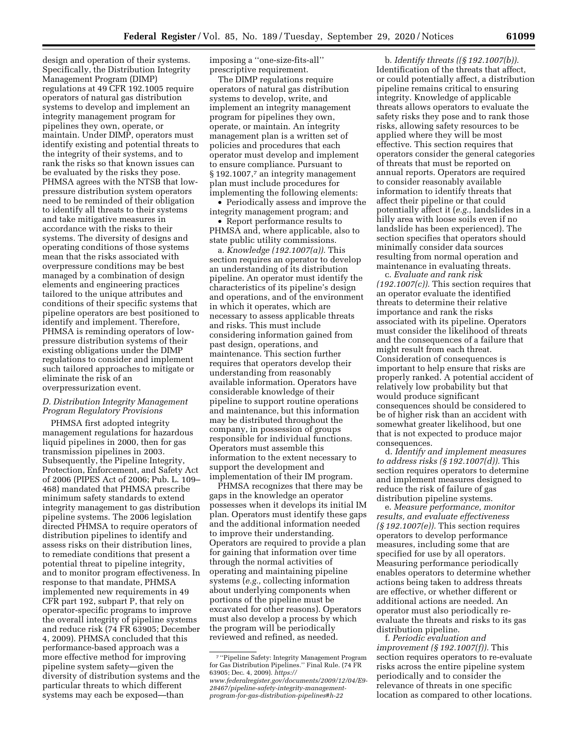design and operation of their systems. Specifically, the Distribution Integrity Management Program (DIMP) regulations at 49 CFR 192.1005 require operators of natural gas distribution systems to develop and implement an integrity management program for pipelines they own, operate, or maintain. Under DIMP, operators must identify existing and potential threats to the integrity of their systems, and to rank the risks so that known issues can be evaluated by the risks they pose. PHMSA agrees with the NTSB that lowpressure distribution system operators need to be reminded of their obligation to identify all threats to their systems and take mitigative measures in accordance with the risks to their systems. The diversity of designs and operating conditions of those systems mean that the risks associated with overpressure conditions may be best managed by a combination of design elements and engineering practices tailored to the unique attributes and conditions of their specific systems that pipeline operators are best positioned to identify and implement. Therefore, PHMSA is reminding operators of lowpressure distribution systems of their existing obligations under the DIMP regulations to consider and implement such tailored approaches to mitigate or eliminate the risk of an overpressurization event.

## *D. Distribution Integrity Management Program Regulatory Provisions*

PHMSA first adopted integrity management regulations for hazardous liquid pipelines in 2000, then for gas transmission pipelines in 2003. Subsequently, the Pipeline Integrity, Protection, Enforcement, and Safety Act of 2006 (PIPES Act of 2006; Pub. L. 109– 468) mandated that PHMSA prescribe minimum safety standards to extend integrity management to gas distribution pipeline systems. The 2006 legislation directed PHMSA to require operators of distribution pipelines to identify and assess risks on their distribution lines, to remediate conditions that present a potential threat to pipeline integrity, and to monitor program effectiveness. In response to that mandate, PHMSA implemented new requirements in 49 CFR part 192, subpart P, that rely on operator-specific programs to improve the overall integrity of pipeline systems and reduce risk (74 FR 63905; December 4, 2009). PHMSA concluded that this performance-based approach was a more effective method for improving pipeline system safety—given the diversity of distribution systems and the particular threats to which different systems may each be exposed—than

imposing a ''one-size-fits-all'' prescriptive requirement.

The DIMP regulations require operators of natural gas distribution systems to develop, write, and implement an integrity management program for pipelines they own, operate, or maintain. An integrity management plan is a written set of policies and procedures that each operator must develop and implement to ensure compliance. Pursuant to § 192.1007,7 an integrity management plan must include procedures for implementing the following elements:

• Periodically assess and improve the integrity management program; and

• Report performance results to PHMSA and, where applicable, also to state public utility commissions.

a. *Knowledge (192.1007(a)).* This section requires an operator to develop an understanding of its distribution pipeline. An operator must identify the characteristics of its pipeline's design and operations, and of the environment in which it operates, which are necessary to assess applicable threats and risks. This must include considering information gained from past design, operations, and maintenance. This section further requires that operators develop their understanding from reasonably available information. Operators have considerable knowledge of their pipeline to support routine operations and maintenance, but this information may be distributed throughout the company, in possession of groups responsible for individual functions. Operators must assemble this information to the extent necessary to support the development and implementation of their IM program.

PHMSA recognizes that there may be gaps in the knowledge an operator possesses when it develops its initial IM plan. Operators must identify these gaps and the additional information needed to improve their understanding. Operators are required to provide a plan for gaining that information over time through the normal activities of operating and maintaining pipeline systems (*e.g.,* collecting information about underlying components when portions of the pipeline must be excavated for other reasons). Operators must also develop a process by which the program will be periodically reviewed and refined, as needed.

b. *Identify threats ((§ 192.1007(b)).*  Identification of the threats that affect, or could potentially affect, a distribution pipeline remains critical to ensuring integrity. Knowledge of applicable threats allows operators to evaluate the safety risks they pose and to rank those risks, allowing safety resources to be applied where they will be most effective. This section requires that operators consider the general categories of threats that must be reported on annual reports. Operators are required to consider reasonably available information to identify threats that affect their pipeline or that could potentially affect it (*e.g.,* landslides in a hilly area with loose soils even if no landslide has been experienced). The section specifies that operators should minimally consider data sources resulting from normal operation and maintenance in evaluating threats.

c. *Evaluate and rank risk (192.1007(c)).* This section requires that an operator evaluate the identified threats to determine their relative importance and rank the risks associated with its pipeline. Operators must consider the likelihood of threats and the consequences of a failure that might result from each threat. Consideration of consequences is important to help ensure that risks are properly ranked. A potential accident of relatively low probability but that would produce significant consequences should be considered to be of higher risk than an accident with somewhat greater likelihood, but one that is not expected to produce major consequences.

d. *Identify and implement measures to address risks (§ 192.1007(d)).* This section requires operators to determine and implement measures designed to reduce the risk of failure of gas distribution pipeline systems.

e. *Measure performance, monitor results, and evaluate effectiveness (§ 192.1007(e)).* This section requires operators to develop performance measures, including some that are specified for use by all operators. Measuring performance periodically enables operators to determine whether actions being taken to address threats are effective, or whether different or additional actions are needed. An operator must also periodically reevaluate the threats and risks to its gas distribution pipeline.

f. *Periodic evaluation and improvement (§ 192.1007(f)).* This section requires operators to re-evaluate risks across the entire pipeline system periodically and to consider the relevance of threats in one specific location as compared to other locations.

<sup>7</sup> ''Pipeline Safety: Integrity Management Program for Gas Distribution Pipelines.'' Final Rule. (74 FR 63905; Dec. 4, 2009). *[https://](https://www.federalregister.gov/documents/2009/12/04/E9-28467/pipeline-safety-integrity-management-program-for-gas-distribution-pipelines#h-22) [www.federalregister.gov/documents/2009/12/04/E9-](https://www.federalregister.gov/documents/2009/12/04/E9-28467/pipeline-safety-integrity-management-program-for-gas-distribution-pipelines#h-22)* 

*[<sup>28467/</sup>pipeline-safety-integrity-management](https://www.federalregister.gov/documents/2009/12/04/E9-28467/pipeline-safety-integrity-management-program-for-gas-distribution-pipelines#h-22)[program-for-gas-distribution-pipelines#h-22](https://www.federalregister.gov/documents/2009/12/04/E9-28467/pipeline-safety-integrity-management-program-for-gas-distribution-pipelines#h-22)*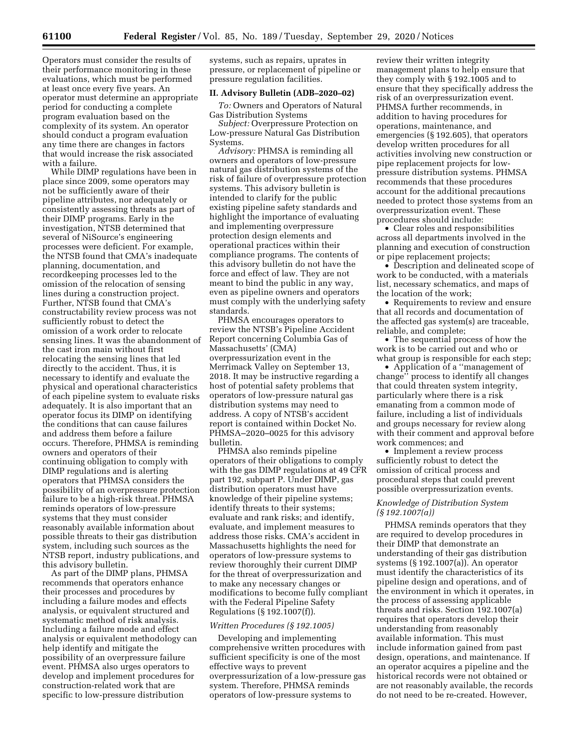Operators must consider the results of their performance monitoring in these evaluations, which must be performed at least once every five years. An operator must determine an appropriate period for conducting a complete program evaluation based on the complexity of its system. An operator should conduct a program evaluation any time there are changes in factors that would increase the risk associated with a failure.

While DIMP regulations have been in place since 2009, some operators may not be sufficiently aware of their pipeline attributes, nor adequately or consistently assessing threats as part of their DIMP programs. Early in the investigation, NTSB determined that several of NiSource's engineering processes were deficient. For example, the NTSB found that CMA's inadequate planning, documentation, and recordkeeping processes led to the omission of the relocation of sensing lines during a construction project. Further, NTSB found that CMA's constructability review process was not sufficiently robust to detect the omission of a work order to relocate sensing lines. It was the abandonment of the cast iron main without first relocating the sensing lines that led directly to the accident. Thus, it is necessary to identify and evaluate the physical and operational characteristics of each pipeline system to evaluate risks adequately. It is also important that an operator focus its DIMP on identifying the conditions that can cause failures and address them before a failure occurs. Therefore, PHMSA is reminding owners and operators of their continuing obligation to comply with DIMP regulations and is alerting operators that PHMSA considers the possibility of an overpressure protection failure to be a high-risk threat. PHMSA reminds operators of low-pressure systems that they must consider reasonably available information about possible threats to their gas distribution system, including such sources as the NTSB report, industry publications, and this advisory bulletin.

As part of the DIMP plans, PHMSA recommends that operators enhance their processes and procedures by including a failure modes and effects analysis, or equivalent structured and systematic method of risk analysis. Including a failure mode and effect analysis or equivalent methodology can help identify and mitigate the possibility of an overpressure failure event. PHMSA also urges operators to develop and implement procedures for construction-related work that are specific to low-pressure distribution

systems, such as repairs, uprates in pressure, or replacement of pipeline or pressure regulation facilities.

#### **II. Advisory Bulletin (ADB–2020–02)**

*To:* Owners and Operators of Natural Gas Distribution Systems

*Subject:* Overpressure Protection on Low-pressure Natural Gas Distribution Systems.

*Advisory:* PHMSA is reminding all owners and operators of low-pressure natural gas distribution systems of the risk of failure of overpressure protection systems. This advisory bulletin is intended to clarify for the public existing pipeline safety standards and highlight the importance of evaluating and implementing overpressure protection design elements and operational practices within their compliance programs. The contents of this advisory bulletin do not have the force and effect of law. They are not meant to bind the public in any way, even as pipeline owners and operators must comply with the underlying safety standards.

PHMSA encourages operators to review the NTSB's Pipeline Accident Report concerning Columbia Gas of Massachusetts' (CMA) overpressurization event in the Merrimack Valley on September 13, 2018. It may be instructive regarding a host of potential safety problems that operators of low-pressure natural gas distribution systems may need to address. A copy of NTSB's accident report is contained within Docket No. PHMSA–2020–0025 for this advisory bulletin.

PHMSA also reminds pipeline operators of their obligations to comply with the gas DIMP regulations at 49 CFR part 192, subpart P. Under DIMP, gas distribution operators must have knowledge of their pipeline systems; identify threats to their systems; evaluate and rank risks; and identify, evaluate, and implement measures to address those risks. CMA's accident in Massachusetts highlights the need for operators of low-pressure systems to review thoroughly their current DIMP for the threat of overpressurization and to make any necessary changes or modifications to become fully compliant with the Federal Pipeline Safety Regulations (§ 192.1007(f)).

#### *Written Procedures (§ 192.1005)*

Developing and implementing comprehensive written procedures with sufficient specificity is one of the most effective ways to prevent overpressurization of a low-pressure gas system. Therefore, PHMSA reminds operators of low-pressure systems to

review their written integrity management plans to help ensure that they comply with § 192.1005 and to ensure that they specifically address the risk of an overpressurization event. PHMSA further recommends, in addition to having procedures for operations, maintenance, and emergencies (§ 192.605), that operators develop written procedures for all activities involving new construction or pipe replacement projects for lowpressure distribution systems. PHMSA recommends that these procedures account for the additional precautions needed to protect those systems from an overpressurization event. These procedures should include:

• Clear roles and responsibilities across all departments involved in the planning and execution of construction or pipe replacement projects;

• Description and delineated scope of work to be conducted, with a materials list, necessary schematics, and maps of the location of the work;

• Requirements to review and ensure that all records and documentation of the affected gas system(s) are traceable, reliable, and complete;

• The sequential process of how the work is to be carried out and who or what group is responsible for each step;

• Application of a ''management of change'' process to identify all changes that could threaten system integrity, particularly where there is a risk emanating from a common mode of failure, including a list of individuals and groups necessary for review along with their comment and approval before work commences; and

• Implement a review process sufficiently robust to detect the omission of critical process and procedural steps that could prevent possible overpressurization events.

## *Knowledge of Distribution System (§ 192.1007(a))*

PHMSA reminds operators that they are required to develop procedures in their DIMP that demonstrate an understanding of their gas distribution systems (§ 192.1007(a)). An operator must identify the characteristics of its pipeline design and operations, and of the environment in which it operates, in the process of assessing applicable threats and risks. Section 192.1007(a) requires that operators develop their understanding from reasonably available information. This must include information gained from past design, operations, and maintenance. If an operator acquires a pipeline and the historical records were not obtained or are not reasonably available, the records do not need to be re-created. However,